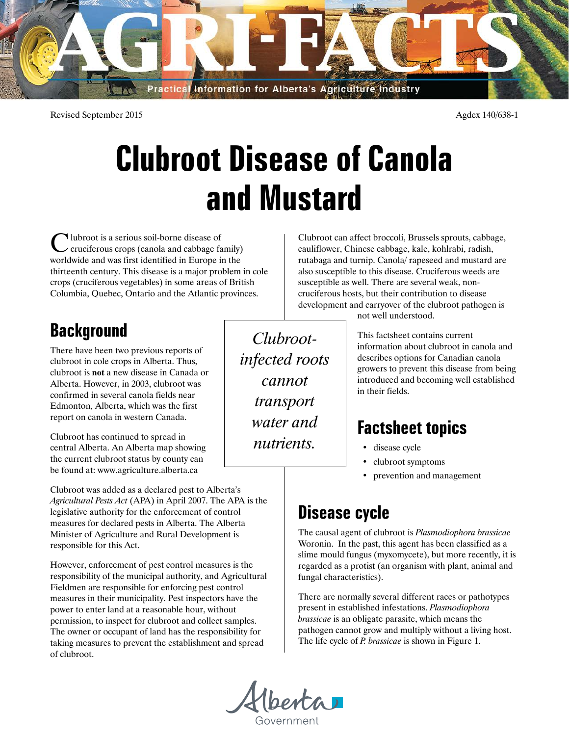

Revised September 2015 Agdex 140/638-1

# **Clubroot Disease of Canola and Mustard**

Clubroot is a serious soil-borne disease of cruciferous crops (canola and cabbage family) worldwide and was first identified in Europe in the thirteenth century. This disease is a major problem in cole crops (cruciferous vegetables) in some areas of British Columbia, Quebec, Ontario and the Atlantic provinces.

## **Background**

There have been two previous reports of clubroot in cole crops in Alberta. Thus, clubroot is **not** a new disease in Canada or Alberta. However, in 2003, clubroot was confirmed in several canola fields near Edmonton, Alberta, which was the first report on canola in western Canada.

Clubroot has continued to spread in central Alberta. An Alberta map showing the current clubroot status by county can be found at: www.agriculture.alberta.ca

Clubroot was added as a declared pest to Alberta's *Agricultural Pests Act* (APA) in April 2007. The APA is the legislative authority for the enforcement of control measures for declared pests in Alberta. The Alberta Minister of Agriculture and Rural Development is responsible for this Act.

However, enforcement of pest control measures is the responsibility of the municipal authority, and Agricultural Fieldmen are responsible for enforcing pest control measures in their municipality. Pest inspectors have the power to enter land at a reasonable hour, without permission, to inspect for clubroot and collect samples. The owner or occupant of land has the responsibility for taking measures to prevent the establishment and spread of clubroot.

*Clubrootinfected roots cannot transport water and nutrients.*

Clubroot can affect broccoli, Brussels sprouts, cabbage, cauliflower, Chinese cabbage, kale, kohlrabi, radish, rutabaga and turnip. Canola/ rapeseed and mustard are also susceptible to this disease. Cruciferous weeds are susceptible as well. There are several weak, noncruciferous hosts, but their contribution to disease development and carryover of the clubroot pathogen is

not well understood.

This factsheet contains current information about clubroot in canola and describes options for Canadian canola growers to prevent this disease from being introduced and becoming well established in their fields.

# **Factsheet topics**

- disease cycle
- clubroot symptoms
- prevention and management

# **Disease cycle**

The causal agent of clubroot is *Plasmodiophora brassicae*  Woronin. In the past, this agent has been classified as a slime mould fungus (myxomycete), but more recently, it is regarded as a protist (an organism with plant, animal and fungal characteristics).

There are normally several different races or pathotypes present in established infestations. *Plasmodiophora brassicae* is an obligate parasite, which means the pathogen cannot grow and multiply without a living host. The life cycle of *P. brassicae* is shown in Figure 1.



overnment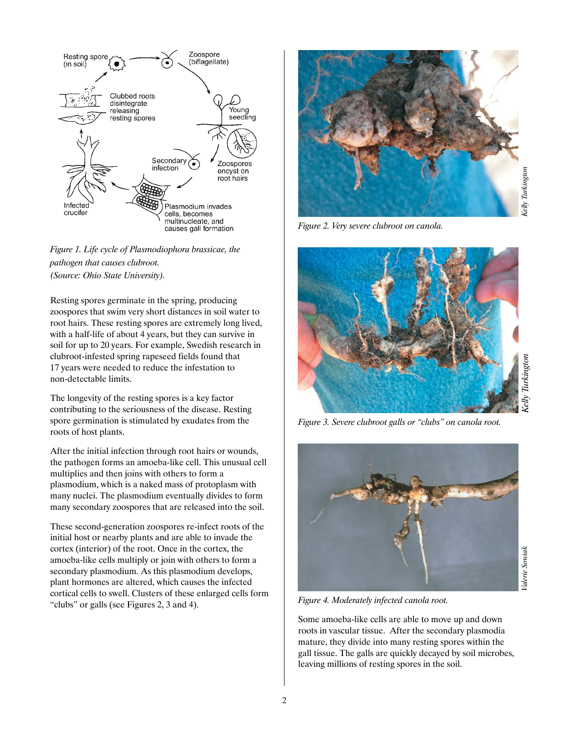

### *Figure 1. Life cycle of Plasmodiophora brassicae, the pathogen that causes clubroot. (Source: Ohio State University).*

Resting spores germinate in the spring, producing zoospores that swim very short distances in soil water to root hairs. These resting spores are extremely long lived, with a half-life of about 4 years, but they can survive in soil for up to 20 years. For example, Swedish research in clubroot-infested spring rapeseed fields found that 17 years were needed to reduce the infestation to non-detectable limits.

The longevity of the resting spores is a key factor contributing to the seriousness of the disease. Resting spore germination is stimulated by exudates from the roots of host plants.

After the initial infection through root hairs or wounds, the pathogen forms an amoeba-like cell. This unusual cell multiplies and then joins with others to form a plasmodium, which is a naked mass of protoplasm with many nuclei. The plasmodium eventually divides to form many secondary zoospores that are released into the soil.

These second-generation zoospores re-infect roots of the initial host or nearby plants and are able to invade the cortex (interior) of the root. Once in the cortex, the amoeba-like cells multiply or join with others to form a secondary plasmodium. As this plasmodium develops, plant hormones are altered, which causes the infected cortical cells to swell. Clusters of these enlarged cells form "clubs" or galls (see Figures 2, 3 and 4).



*Figure 2. Very severe clubroot on canola.* 



*Figure 3. Severe clubroot galls or "clubs" on canola root.*



*Figure 4. Moderately infected canola root.* 

Some amoeba-like cells are able to move up and down roots in vascular tissue. After the secondary plasmodia mature, they divide into many resting spores within the gall tissue. The galls are quickly decayed by soil microbes, leaving millions of resting spores in the soil.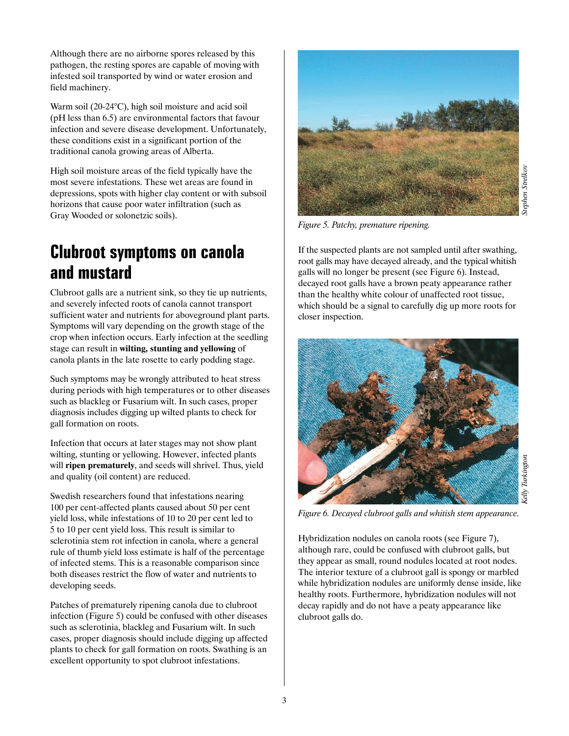Although there are no airborne spores released by this pathogen, the resting spores are capable of moving with infested soil transported by wind or water erosion and field machinery.

Warm soil (20-24°C), high soil moisture and acid soil (pH less than 6.5) are environmental factors that favour infection and severe disease development. Unfortunately, these conditions exist in a significant portion of the traditional canola growing areas of Alberta.

High soil moisture areas of the field typically have the most severe infestations. These wet areas are found in depressions, spots with higher clay content or with subsoil horizons that cause poor water infiltration (such as Gray Wooded or solonetzic soils).

# **Clubroot symptoms on canola and mustard**

Clubroot galls are a nutrient sink, so they tie up nutrients, and severely infected roots of canola cannot transport sufficient water and nutrients for aboveground plant parts. Symptoms will vary depending on the growth stage of the crop when infection occurs. Early infection at the seedling stage can result in **wilting, stunting and yellowing** of canola plants in the late rosette to early podding stage.

Such symptoms may be wrongly attributed to heat stress during periods with high temperatures or to other diseases such as blackleg or Fusarium wilt. In such cases, proper diagnosis includes digging up wilted plants to check for gall formation on roots.

Infection that occurs at later stages may not show plant wilting, stunting or yellowing. However, infected plants will **ripen prematurely**, and seeds will shrivel. Thus, yield and quality (oil content) are reduced.

Swedish researchers found that infestations nearing 100 per cent-affected plants caused about 50 per cent yield loss, while infestations of 10 to 20 per cent led to 5 to 10 per cent yield loss. This result is similar to sclerotinia stem rot infection in canola, where a general rule of thumb yield loss estimate is half of the percentage of infected stems. This is a reasonable comparison since both diseases restrict the flow of water and nutrients to developing seeds.

Patches of prematurely ripening canola due to clubroot infection (Figure 5) could be confused with other diseases such as sclerotinia, blackleg and Fusarium wilt. In such cases, proper diagnosis should include digging up affected plants to check for gall formation on roots. Swathing is an excellent opportunity to spot clubroot infestations.



*Figure 5. Patchy, premature ripening.*

If the suspected plants are not sampled until after swathing, root galls may have decayed already, and the typical whitish galls will no longer be present (see Figure 6). Instead, decayed root galls have a brown peaty appearance rather than the healthy white colour of unaffected root tissue, which should be a signal to carefully dig up more roots for closer inspection.



*Figure 6. Decayed clubroot galls and whitish stem appearance.*

Hybridization nodules on canola roots (see Figure 7), although rare, could be confused with clubroot galls, but they appear as small, round nodules located at root nodes. The interior texture of a clubroot gall is spongy or marbled while hybridization nodules are uniformly dense inside, like healthy roots. Furthermore, hybridization nodules will not decay rapidly and do not have a peaty appearance like clubroot galls do.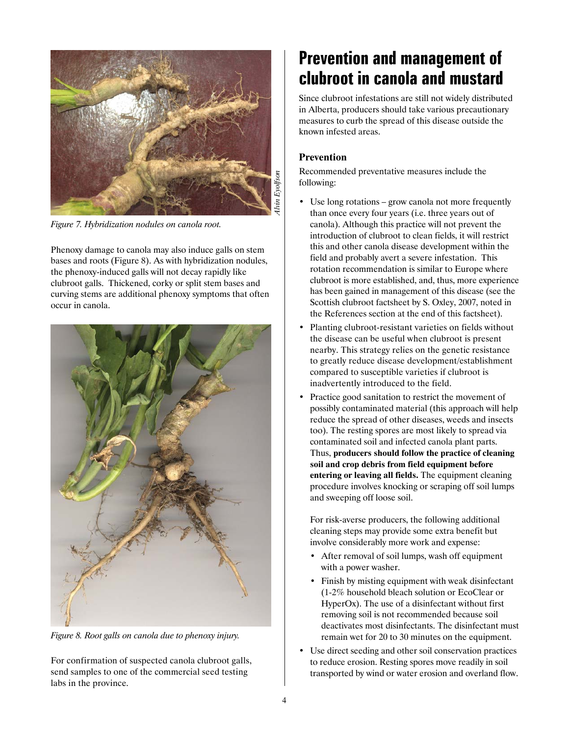

*Figure 7. Hybridization nodules on canola root.*

Phenoxy damage to canola may also induce galls on stem bases and roots (Figure 8). As with hybridization nodules, the phenoxy-induced galls will not decay rapidly like clubroot galls. Thickened, corky or split stem bases and curving stems are additional phenoxy symptoms that often occur in canola.



*Figure 8. Root galls on canola due to phenoxy injury.*

For confirmation of suspected canola clubroot galls, send samples to one of the commercial seed testing labs in the province.

# **Prevention and management of clubroot in canola and mustard**

Since clubroot infestations are still not widely distributed in Alberta, producers should take various precautionary measures to curb the spread of this disease outside the known infested areas.

### **Prevention**

Recommended preventative measures include the following:

- Use long rotations grow canola not more frequently than once every four years (i.e. three years out of canola). Although this practice will not prevent the introduction of clubroot to clean fields, it will restrict this and other canola disease development within the field and probably avert a severe infestation. This rotation recommendation is similar to Europe where clubroot is more established, and, thus, more experience has been gained in management of this disease (see the Scottish clubroot factsheet by S. Oxley, 2007, noted in the References section at the end of this factsheet).
- Planting clubroot-resistant varieties on fields without the disease can be useful when clubroot is present nearby. This strategy relies on the genetic resistance to greatly reduce disease development/establishment compared to susceptible varieties if clubroot is inadvertently introduced to the field.
- Practice good sanitation to restrict the movement of possibly contaminated material (this approach will help reduce the spread of other diseases, weeds and insects too). The resting spores are most likely to spread via contaminated soil and infected canola plant parts. Thus, **producers should follow the practice of cleaning soil and crop debris from field equipment before entering or leaving all fields.** The equipment cleaning procedure involves knocking or scraping off soil lumps and sweeping off loose soil.

For risk-averse producers, the following additional cleaning steps may provide some extra benefit but involve considerably more work and expense:

- After removal of soil lumps, wash off equipment with a power washer.
- Finish by misting equipment with weak disinfectant (1-2% household bleach solution or EcoClear or HyperOx). The use of a disinfectant without first removing soil is not recommended because soil deactivates most disinfectants. The disinfectant must remain wet for 20 to 30 minutes on the equipment.
- Use direct seeding and other soil conservation practices to reduce erosion. Resting spores move readily in soil transported by wind or water erosion and overland flow.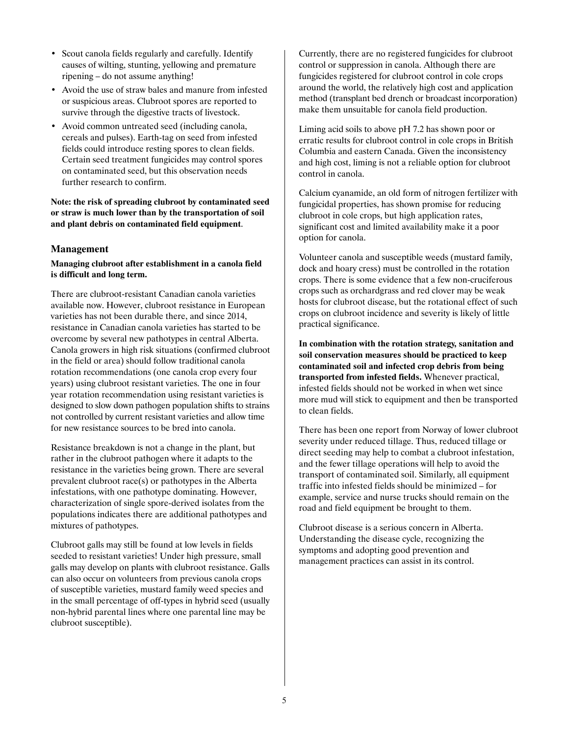- Scout canola fields regularly and carefully. Identify causes of wilting, stunting, yellowing and premature ripening – do not assume anything!
- Avoid the use of straw bales and manure from infested or suspicious areas. Clubroot spores are reported to survive through the digestive tracts of livestock.
- Avoid common untreated seed (including canola, cereals and pulses). Earth-tag on seed from infested fields could introduce resting spores to clean fields. Certain seed treatment fungicides may control spores on contaminated seed, but this observation needs further research to confirm.

**Note: the risk of spreading clubroot by contaminated seed or straw is much lower than by the transportation of soil and plant debris on contaminated field equipment**.

### **Management**

### **Managing clubroot after establishment in a canola field is difficult and long term.**

There are clubroot-resistant Canadian canola varieties available now. However, clubroot resistance in European varieties has not been durable there, and since 2014, resistance in Canadian canola varieties has started to be overcome by several new pathotypes in central Alberta. Canola growers in high risk situations (confirmed clubroot in the field or area) should follow traditional canola rotation recommendations (one canola crop every four years) using clubroot resistant varieties. The one in four year rotation recommendation using resistant varieties is designed to slow down pathogen population shifts to strains not controlled by current resistant varieties and allow time for new resistance sources to be bred into canola.

Resistance breakdown is not a change in the plant, but rather in the clubroot pathogen where it adapts to the resistance in the varieties being grown. There are several prevalent clubroot race(s) or pathotypes in the Alberta infestations, with one pathotype dominating. However, characterization of single spore-derived isolates from the populations indicates there are additional pathotypes and mixtures of pathotypes.

Clubroot galls may still be found at low levels in fields seeded to resistant varieties! Under high pressure, small galls may develop on plants with clubroot resistance. Galls can also occur on volunteers from previous canola crops of susceptible varieties, mustard family weed species and in the small percentage of off-types in hybrid seed (usually non-hybrid parental lines where one parental line may be clubroot susceptible).

Currently, there are no registered fungicides for clubroot control or suppression in canola. Although there are fungicides registered for clubroot control in cole crops around the world, the relatively high cost and application method (transplant bed drench or broadcast incorporation) make them unsuitable for canola field production.

Liming acid soils to above pH 7.2 has shown poor or erratic results for clubroot control in cole crops in British Columbia and eastern Canada. Given the inconsistency and high cost, liming is not a reliable option for clubroot control in canola.

Calcium cyanamide, an old form of nitrogen fertilizer with fungicidal properties, has shown promise for reducing clubroot in cole crops, but high application rates, significant cost and limited availability make it a poor option for canola.

Volunteer canola and susceptible weeds (mustard family, dock and hoary cress) must be controlled in the rotation crops. There is some evidence that a few non-cruciferous crops such as orchardgrass and red clover may be weak hosts for clubroot disease, but the rotational effect of such crops on clubroot incidence and severity is likely of little practical significance.

**In combination with the rotation strategy, sanitation and soil conservation measures should be practiced to keep contaminated soil and infected crop debris from being transported from infested fields.** Whenever practical, infested fields should not be worked in when wet since more mud will stick to equipment and then be transported to clean fields.

There has been one report from Norway of lower clubroot severity under reduced tillage. Thus, reduced tillage or direct seeding may help to combat a clubroot infestation, and the fewer tillage operations will help to avoid the transport of contaminated soil. Similarly, all equipment traffic into infested fields should be minimized – for example, service and nurse trucks should remain on the road and field equipment be brought to them.

Clubroot disease is a serious concern in Alberta. Understanding the disease cycle, recognizing the symptoms and adopting good prevention and management practices can assist in its control.